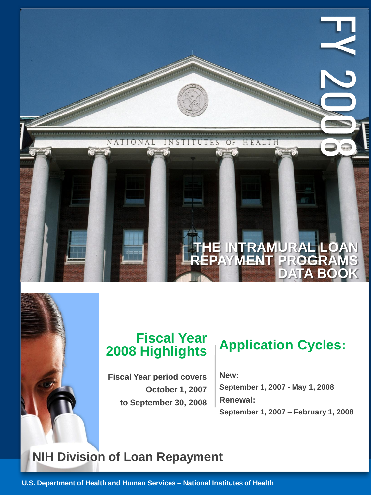

# **Fiscal Year 2008 Highlights**

**Fiscal Year period covers October 1, 2007 to September 30, 2008**

**New: September 1, 2007 - May 1, 2008 Renewal: September 1, 2007 – February 1, 2008**

# **NIH Division of Loan Repayment**

**U.S. Department of Health and Human Services – National Institutes of Health**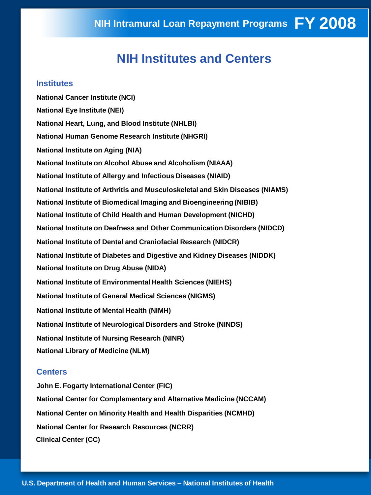# **NIH Institutes and Centers**

#### **Institutes**

**National Cancer Institute (NCI) National Eye Institute (NEI) National Heart, Lung, and Blood Institute (NHLBI) National Human Genome Research Institute (NHGRI) National Institute on Aging (NIA) National Institute on Alcohol Abuse and Alcoholism (NIAAA) National Institute of Allergy and Infectious Diseases (NIAID) National Institute of Arthritis and Musculoskeletal and Skin Diseases (NIAMS) National Institute of Biomedical Imaging and Bioengineering (NIBIB) National Institute of Child Health and Human Development (NICHD) National Institute on Deafness and Other Communication Disorders (NIDCD) National Institute of Dental and Craniofacial Research (NIDCR) National Institute of Diabetes and Digestive and Kidney Diseases (NIDDK) National Institute on Drug Abuse (NIDA) National Institute of Environmental Health Sciences (NIEHS) National Institute of General Medical Sciences (NIGMS) National Institute of Mental Health (NIMH) National Institute of Neurological Disorders and Stroke (NINDS) National Institute of Nursing Research (NINR) National Library of Medicine (NLM)** 

#### **Centers**

**John E. Fogarty International Center (FIC) National Center for Complementary and Alternative Medicine (NCCAM) National Center on Minority Health and Health Disparities (NCMHD) National Center for Research Resources (NCRR) Clinical Center (CC)**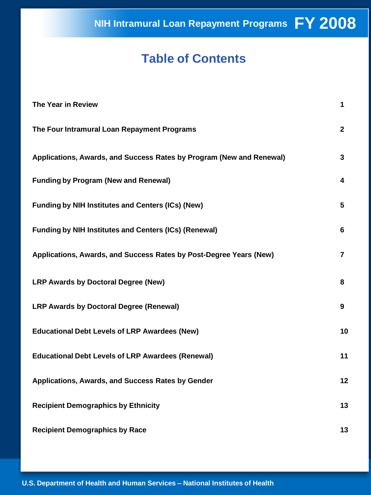**FY 2008 NIH Intramural Loan Repayment Programs**

# **Table of Contents**

| <b>The Year in Review</b>                                            | 1            |
|----------------------------------------------------------------------|--------------|
| The Four Intramural Loan Repayment Programs                          | $\mathbf{2}$ |
| Applications, Awards, and Success Rates by Program (New and Renewal) | 3            |
| <b>Funding by Program (New and Renewal)</b>                          | 4            |
| <b>Funding by NIH Institutes and Centers (ICs) (New)</b>             | 5            |
| <b>Funding by NIH Institutes and Centers (ICs) (Renewal)</b>         | 6            |
| Applications, Awards, and Success Rates by Post-Degree Years (New)   | 7            |
| LRP Awards by Doctoral Degree (New)                                  | 8            |
| <b>LRP Awards by Doctoral Degree (Renewal)</b>                       | 9            |
| <b>Educational Debt Levels of LRP Awardees (New)</b>                 | 10           |
| <b>Educational Debt Levels of LRP Awardees (Renewal)</b>             | 11           |
| Applications, Awards, and Success Rates by Gender                    | 12           |
| <b>Recipient Demographics by Ethnicity</b>                           | 13           |
| <b>Recipient Demographics by Race</b>                                | 13           |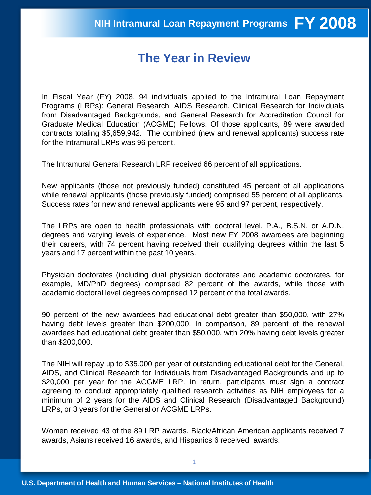### **The Year in Review**

In Fiscal Year (FY) 2008, 94 individuals applied to the Intramural Loan Repayment Programs (LRPs): General Research, AIDS Research, Clinical Research for Individuals from Disadvantaged Backgrounds, and General Research for Accreditation Council for Graduate Medical Education (ACGME) Fellows. Of those applicants, 89 were awarded contracts totaling \$5,659,942. The combined (new and renewal applicants) success rate for the Intramural LRPs was 96 percent.

The Intramural General Research LRP received 66 percent of all applications.

New applicants (those not previously funded) constituted 45 percent of all applications while renewal applicants (those previously funded) comprised 55 percent of all applicants. Success rates for new and renewal applicants were 95 and 97 percent, respectively.

The LRPs are open to health professionals with doctoral level, P.A., B.S.N. or A.D.N. degrees and varying levels of experience. Most new FY 2008 awardees are beginning their careers, with 74 percent having received their qualifying degrees within the last 5 years and 17 percent within the past 10 years.

Physician doctorates (including dual physician doctorates and academic doctorates, for example, MD/PhD degrees) comprised 82 percent of the awards, while those with academic doctoral level degrees comprised 12 percent of the total awards.

90 percent of the new awardees had educational debt greater than \$50,000, with 27% having debt levels greater than \$200,000. In comparison, 89 percent of the renewal awardees had educational debt greater than \$50,000, with 20% having debt levels greater than \$200,000.

The NIH will repay up to \$35,000 per year of outstanding educational debt for the General, AIDS, and Clinical Research for Individuals from Disadvantaged Backgrounds and up to \$20,000 per year for the ACGME LRP. In return, participants must sign a contract agreeing to conduct appropriately qualified research activities as NIH employees for a minimum of 2 years for the AIDS and Clinical Research (Disadvantaged Background) LRPs, or 3 years for the General or ACGME LRPs.

Women received 43 of the 89 LRP awards. Black/African American applicants received 7 awards, Asians received 16 awards, and Hispanics 6 received awards.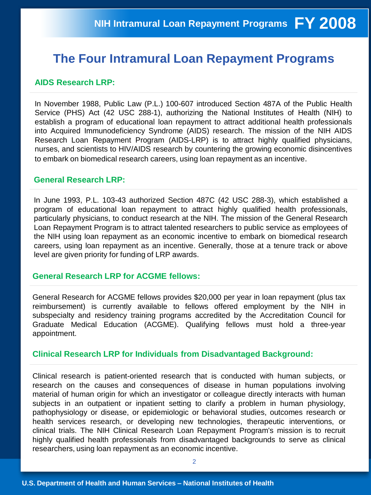## **The Four Intramural Loan Repayment Programs**

#### **AIDS Research LRP:**

In November 1988, Public Law (P.L.) 100-607 introduced Section 487A of the Public Health Service (PHS) Act (42 USC 288-1), authorizing the National Institutes of Health (NIH) to establish a program of educational loan repayment to attract additional health professionals into Acquired Immunodeficiency Syndrome (AIDS) research. The mission of the NIH AIDS Research Loan Repayment Program (AIDS-LRP) is to attract highly qualified physicians, nurses, and scientists to HIV/AIDS research by countering the growing economic disincentives to embark on biomedical research careers, using loan repayment as an incentive.

#### **General Research LRP:**

In June 1993, P.L. 103-43 authorized Section 487C (42 USC 288-3), which established a program of educational loan repayment to attract highly qualified health professionals, particularly physicians, to conduct research at the NIH. The mission of the General Research Loan Repayment Program is to attract talented researchers to public service as employees of the NIH using loan repayment as an economic incentive to embark on biomedical research careers, using loan repayment as an incentive. Generally, those at a tenure track or above level are given priority for funding of LRP awards.

#### **General Research LRP for ACGME fellows:**

General Research for ACGME fellows provides \$20,000 per year in loan repayment (plus tax reimbursement) is currently available to fellows offered employment by the NIH in subspecialty and residency training programs accredited by the Accreditation Council for Graduate Medical Education (ACGME). Qualifying fellows must hold a three-year appointment.

#### **Clinical Research LRP for Individuals from Disadvantaged Background:**

Clinical research is patient-oriented research that is conducted with human subjects, or research on the causes and consequences of disease in human populations involving material of human origin for which an investigator or colleague directly interacts with human subjects in an outpatient or inpatient setting to clarify a problem in human physiology, pathophysiology or disease, or epidemiologic or behavioral studies, outcomes research or health services research, or developing new technologies, therapeutic interventions, or clinical trials. The NIH Clinical Research Loan Repayment Program's mission is to recruit highly qualified health professionals from disadvantaged backgrounds to serve as clinical researchers, using loan repayment as an economic incentive.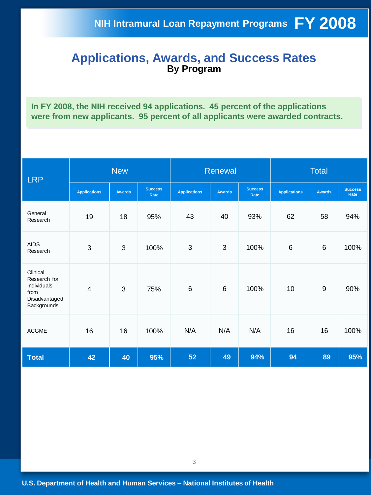#### **Applications, Awards, and Success Rates By Program**

**In FY 2008, the NIH received 94 applications. 45 percent of the applications were from new applicants. 95 percent of all applicants were awarded contracts.** 

| <b>LRP</b>                                                                      |                     | <b>New</b>    |                        | Renewal             |                |                        | <b>Total</b>        |                |                        |
|---------------------------------------------------------------------------------|---------------------|---------------|------------------------|---------------------|----------------|------------------------|---------------------|----------------|------------------------|
|                                                                                 | <b>Applications</b> | <b>Awards</b> | <b>Success</b><br>Rate | <b>Applications</b> | <b>Awards</b>  | <b>Success</b><br>Rate | <b>Applications</b> | <b>Awards</b>  | <b>Success</b><br>Rate |
| General<br>Research                                                             | 19                  | 18            | 95%                    | 43                  | 40             | 93%                    | 62                  | 58             | 94%                    |
| <b>AIDS</b><br>Research                                                         | 3                   | 3             | 100%                   | 3                   | 3              | 100%                   | $\,6$               | $6\phantom{1}$ | 100%                   |
| Clinical<br>Research for<br>Individuals<br>from<br>Disadvantaged<br>Backgrounds | $\overline{4}$      | 3             | 75%                    | $6\phantom{1}$      | $6\phantom{1}$ | 100%                   | 10                  | $9\,$          | 90%                    |
| <b>ACGME</b>                                                                    | 16                  | 16            | 100%                   | N/A                 | N/A            | N/A                    | 16                  | 16             | 100%                   |
| <b>Total</b>                                                                    | 42                  | 40            | 95%                    | 52                  | 49             | 94%                    | 94                  | 89             | 95%                    |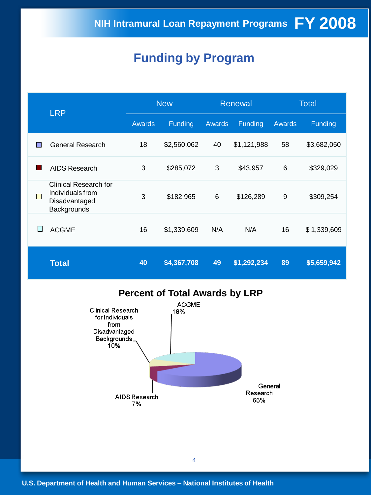# **Funding by Program**

| <b>LRP</b> |                                                                           | <b>New</b> |             |               | <b>Renewal</b> | <b>Total</b> |             |
|------------|---------------------------------------------------------------------------|------------|-------------|---------------|----------------|--------------|-------------|
|            |                                                                           | Awards     | Funding     | <b>Awards</b> | <b>Funding</b> | Awards       | Funding     |
|            | General Research                                                          | 18         | \$2,560,062 | 40            | \$1,121,988    | 58           | \$3,682,050 |
|            | AIDS Research                                                             | 3          | \$285,072   | 3             | \$43,957       | 6            | \$329,029   |
|            | Clinical Research for<br>Individuals from<br>Disadvantaged<br>Backgrounds | 3          | \$182,965   | 6             | \$126,289      | 9            | \$309,254   |
| L          | <b>ACGME</b>                                                              | 16         | \$1,339,609 | N/A           | N/A            | 16           | \$1,339,609 |
|            | <b>Total</b>                                                              | 40         | \$4,367,708 | 49            | \$1,292,234    | 89           | \$5,659,942 |

### **Percent of Total Awards by LRP**

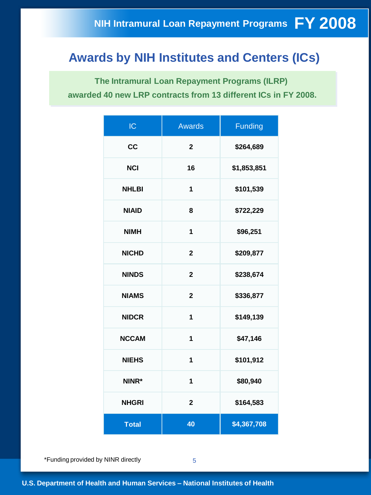# **Awards by NIH Institutes and Centers (ICs)**

**The Intramural Loan Repayment Programs (ILRP) awarded 40 new LRP contracts from 13 different ICs in FY 2008.**

| IC           | <b>Awards</b>  | Funding     |
|--------------|----------------|-------------|
| cc           | $\mathbf 2$    | \$264,689   |
| <b>NCI</b>   | 16             | \$1,853,851 |
| <b>NHLBI</b> | 1              | \$101,539   |
| <b>NIAID</b> | 8              | \$722,229   |
| <b>NIMH</b>  | 1              | \$96,251    |
| <b>NICHD</b> | $\mathbf 2$    | \$209,877   |
| <b>NINDS</b> | $\overline{2}$ | \$238,674   |
| <b>NIAMS</b> | $\overline{2}$ | \$336,877   |
| <b>NIDCR</b> | 1              | \$149,139   |
| <b>NCCAM</b> | 1              | \$47,146    |
| <b>NIEHS</b> | 1              | \$101,912   |
| NINR*        | $\overline{1}$ | \$80,940    |
| <b>NHGRI</b> | $\overline{2}$ | \$164,583   |
| <b>Total</b> | 40             | \$4,367,708 |

\*Funding provided by NINR directly 5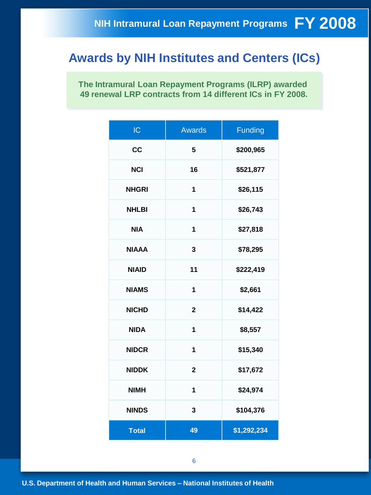### **Awards by NIH Institutes and Centers (ICs)**

**The Intramural Loan Repayment Programs (ILRP) awarded 49 renewal LRP contracts from 14 different ICs in FY 2008.**

| IC           | <b>Awards</b>  | Funding     |
|--------------|----------------|-------------|
| cc           | 5              | \$200,965   |
| <b>NCI</b>   | 16             | \$521,877   |
| <b>NHGRI</b> | 1              | \$26,115    |
| <b>NHLBI</b> | 1              | \$26,743    |
| <b>NIA</b>   | 1              | \$27,818    |
| <b>NIAAA</b> | 3              | \$78,295    |
| <b>NIAID</b> | 11             | \$222,419   |
| <b>NIAMS</b> | $\overline{1}$ | \$2,661     |
| <b>NICHD</b> | $\mathbf{2}$   | \$14,422    |
| <b>NIDA</b>  | 1              | \$8,557     |
| <b>NIDCR</b> | 1              | \$15,340    |
| <b>NIDDK</b> | $\mathbf{2}$   | \$17,672    |
| <b>NIMH</b>  | 1              | \$24,974    |
| <b>NINDS</b> | 3              | \$104,376   |
| <b>Total</b> | 49             | \$1,292,234 |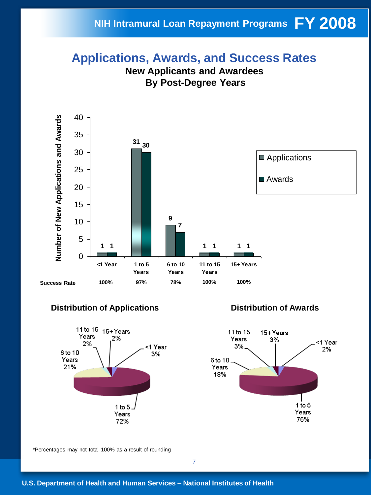### **NIH Intramural Loan Repayment Programs FY 2008**

# **Applications, Awards, and Success Rates**





#### **Distribution of Applications**



#### **Distribution of Awards**



\*Percentages may not total 100% as a result of rounding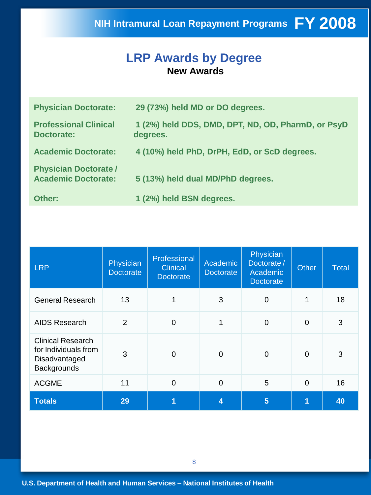### **LRP Awards by Degree New Awards**

| <b>Physician Doctorate:</b>                                | 29 (73%) held MD or DO degrees.                                |
|------------------------------------------------------------|----------------------------------------------------------------|
| <b>Professional Clinical</b><br><b>Doctorate:</b>          | 1 (2%) held DDS, DMD, DPT, ND, OD, PharmD, or PsyD<br>degrees. |
| <b>Academic Doctorate:</b>                                 | 4 (10%) held PhD, DrPH, EdD, or ScD degrees.                   |
| <b>Physician Doctorate /</b><br><b>Academic Doctorate:</b> | 5 (13%) held dual MD/PhD degrees.                              |
| Other:                                                     | 1 (2%) held BSN degrees.                                       |

| <b>LRP</b>                                                                              | Physician<br><b>Doctorate</b> | Professional<br><b>Clinical</b><br><b>Doctorate</b> | Academic<br>Doctorate | Physician<br>Doctorate/<br>Academic<br><b>Doctorate</b> | <b>Other</b> | <b>Total</b> |
|-----------------------------------------------------------------------------------------|-------------------------------|-----------------------------------------------------|-----------------------|---------------------------------------------------------|--------------|--------------|
| <b>General Research</b>                                                                 | 13                            | 1                                                   | 3                     | 0                                                       | 1            | 18           |
| <b>AIDS Research</b>                                                                    | $\overline{2}$                | $\mathbf 0$                                         | 1                     | $\overline{0}$                                          | $\Omega$     | 3            |
| <b>Clinical Research</b><br>for Individuals from<br>Disadvantaged<br><b>Backgrounds</b> | 3                             | 0                                                   | $\overline{0}$        | 0                                                       | $\Omega$     | 3            |
| <b>ACGME</b>                                                                            | 11                            | $\mathbf 0$                                         | $\overline{0}$        | 5                                                       | $\Omega$     | 16           |
| <b>Totals</b>                                                                           | 29                            | 1                                                   | 4                     | $5\phantom{1}$                                          |              | 40           |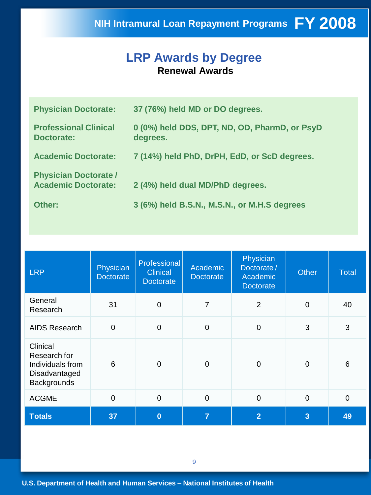# **FY 2008 NIH Intramural Loan Repayment Programs**

### **LRP Awards by Degree Renewal Awards**

| <b>Physician Doctorate:</b>                                | 37 (76%) held MD or DO degrees.                           |
|------------------------------------------------------------|-----------------------------------------------------------|
| <b>Professional Clinical</b><br><b>Doctorate:</b>          | 0 (0%) held DDS, DPT, ND, OD, PharmD, or PsyD<br>degrees. |
| <b>Academic Doctorate:</b>                                 | 7 (14%) held PhD, DrPH, EdD, or ScD degrees.              |
| <b>Physician Doctorate /</b><br><b>Academic Doctorate:</b> | 2 (4%) held dual MD/PhD degrees.                          |
| Other:                                                     | 3 (6%) held B.S.N., M.S.N., or M.H.S degrees              |

| <b>LRP</b>                                                                          | Physician<br><b>Doctorate</b> | Professional<br><b>Clinical</b><br><b>Doctorate</b> | Physician<br>Academic<br>Doctorate/<br>Academic<br><b>Doctorate</b><br><b>Doctorate</b> |                | Other          | <b>Total</b> |
|-------------------------------------------------------------------------------------|-------------------------------|-----------------------------------------------------|-----------------------------------------------------------------------------------------|----------------|----------------|--------------|
| General<br>Research                                                                 | 31                            | $\mathbf 0$                                         | 7                                                                                       | 2              | $\mathbf 0$    | 40           |
| <b>AIDS Research</b>                                                                | $\overline{0}$                | $\mathbf 0$                                         | 0                                                                                       | $\overline{0}$ | 3              | 3            |
| Clinical<br>Research for<br>Individuals from<br>Disadvantaged<br><b>Backgrounds</b> | 6                             | $\mathbf 0$                                         | 0                                                                                       | $\mathbf 0$    | $\mathbf 0$    | 6            |
| <b>ACGME</b>                                                                        | $\mathbf 0$                   | $\mathbf 0$                                         | 0                                                                                       | $\mathbf 0$    | $\mathbf 0$    | $\Omega$     |
| <b>Totals</b>                                                                       | 37                            | $\bf{0}$                                            | $\overline{7}$                                                                          | $\overline{2}$ | $\overline{3}$ | 49           |

9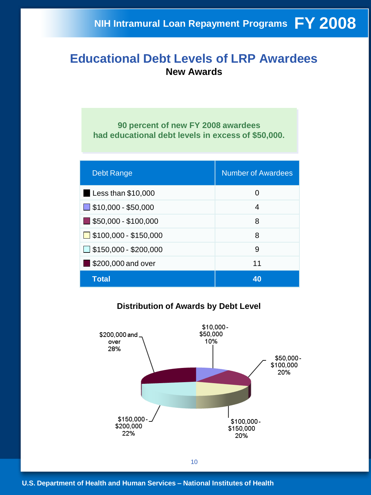#### **Educational Debt Levels of LRP Awardees New Awards**

**90 percent of new FY 2008 awardees had educational debt levels in excess of \$50,000.**

| <b>Debt Range</b>                   | <b>Number of Awardees</b> |
|-------------------------------------|---------------------------|
| Less than $$10,000$                 | O                         |
| $\Box$ \$10,000 - \$50,000          | 4                         |
| $\blacksquare$ \$50,000 - \$100,000 | 8                         |
| $\Box$ \$100,000 - \$150,000        | 8                         |
| $\Box$ \$150,000 - \$200,000        | 9                         |
| \$200,000 and over                  | 11                        |
| <b>Total</b>                        | 40                        |

#### **Distribution of Awards by Debt Level**

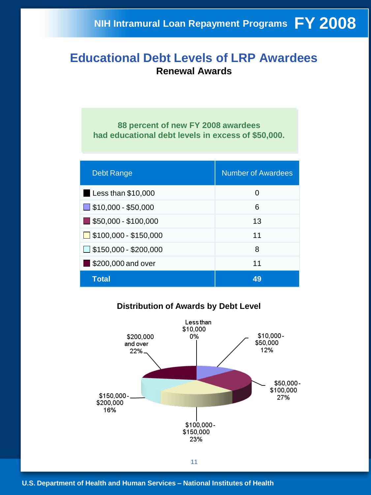### **Educational Debt Levels of LRP Awardees Renewal Awards**

**88 percent of new FY 2008 awardees had educational debt levels in excess of \$50,000.**

| <b>Debt Range</b>                   | <b>Number of Awardees</b> |
|-------------------------------------|---------------------------|
| Less than $$10,000$                 | 0                         |
| $\Box$ \$10,000 - \$50,000          | 6                         |
| $\blacksquare$ \$50,000 - \$100,000 | 13                        |
| $\Box$ \$100,000 - \$150,000        | 11                        |
| $\Box$ \$150,000 - \$200,000        | 8                         |
| \$200,000 and over                  | 11                        |
| <b>Total</b>                        | 49                        |

#### **Distribution of Awards by Debt Level**

![](_page_13_Figure_5.jpeg)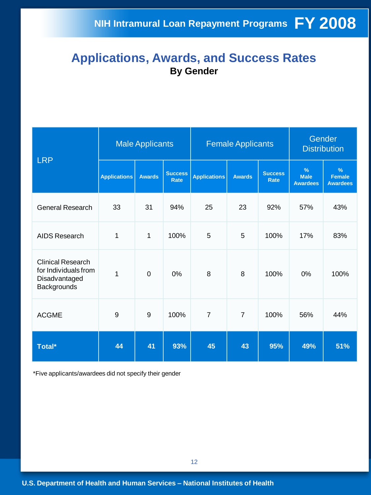### **Applications, Awards, and Success Rates By Gender**

| <b>LRP</b>                                                                       | <b>Male Applicants</b> |                |                               |                     | <b>Female Applicants</b> | Gender<br><b>Distribution</b> |                                                 |                                                   |
|----------------------------------------------------------------------------------|------------------------|----------------|-------------------------------|---------------------|--------------------------|-------------------------------|-------------------------------------------------|---------------------------------------------------|
|                                                                                  | <b>Applications</b>    | <b>Awards</b>  | <b>Success</b><br><b>Rate</b> | <b>Applications</b> | <b>Awards</b>            | <b>Success</b><br><b>Rate</b> | $\frac{9}{6}$<br><b>Male</b><br><b>Awardees</b> | $\frac{9}{6}$<br><b>Female</b><br><b>Awardees</b> |
| <b>General Research</b>                                                          | 33                     | 31             | 94%                           | 25                  | 23                       | 92%                           | 57%                                             | 43%                                               |
| AIDS Research                                                                    | 1                      | 1              | 100%                          | 5                   | 5                        | 100%                          | 17%                                             | 83%                                               |
| <b>Clinical Research</b><br>for Individuals from<br>Disadvantaged<br>Backgrounds | $\overline{1}$         | $\overline{0}$ | 0%                            | 8                   | 8                        | 100%                          | 0%                                              | 100%                                              |
| <b>ACGME</b>                                                                     | 9                      | 9              | 100%                          | $\overline{7}$      | $\overline{7}$           | 100%                          | 56%                                             | 44%                                               |
| Total*                                                                           | 44                     | 41             | 93%                           | 45                  | 43                       | 95%                           | 49%                                             | 51%                                               |

\*Five applicants/awardees did not specify their gender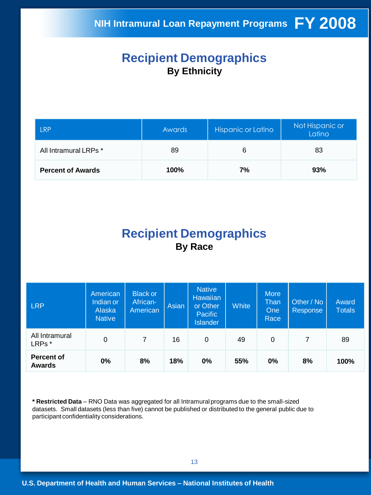### **Recipient Demographics By Ethnicity**

| <b>LRP</b>               | <b>Awards</b> | Hispanic or Latino | Not Hispanic or<br>Latino |  |
|--------------------------|---------------|--------------------|---------------------------|--|
| All Intramural LRPs *    | 89            | 6                  | 83                        |  |
| <b>Percent of Awards</b> | 100%          | 7%                 | 93%                       |  |

## **Recipient Demographics By Race**

| <b>LRP</b>                         | American<br>Indian or<br>Alaska<br><b>Native</b> | <b>Black or</b><br>African-<br>American | Asian | <b>Native</b><br>Hawaiian<br>or Other<br>Pacific<br><b>Islander</b> | <b>White</b> | <b>More</b><br>Than<br><b>One</b><br>Race | Other / No<br><b>Response</b> | Award<br><b>Totals</b> |
|------------------------------------|--------------------------------------------------|-----------------------------------------|-------|---------------------------------------------------------------------|--------------|-------------------------------------------|-------------------------------|------------------------|
| All Intramural<br>LRPs*            | 0                                                | 7                                       | 16    | 0                                                                   | 49           | $\Omega$                                  | 7                             | 89                     |
| <b>Percent of</b><br><b>Awards</b> | $0\%$                                            | 8%                                      | 18%   | 0%                                                                  | 55%          | $0\%$                                     | 8%                            | 100%                   |

**\* Restricted Data** – RNO Data was aggregated for all Intramural programs due to the small-sized datasets. Small datasets (less than five) cannot be published or distributed to the general public due to participant confidentiality considerations.